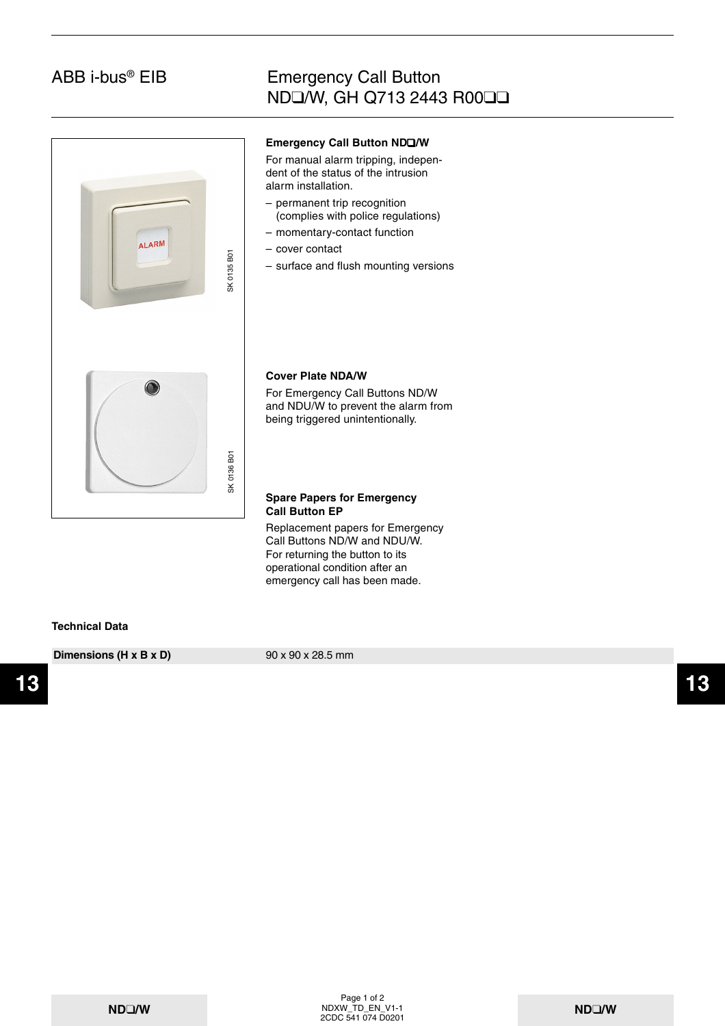## Emergency Call Button ND❑/W, GH Q713 2443 R00❑❑



#### **Emergency Call Button ND**❑**/W**

For manual alarm tripping, independent of the status of the intrusion alarm installation.

- permanent trip recognition (complies with police regulations)
- momentary-contact function
- cover contact
- surface and flush mounting versions

#### **Cover Plate NDA/W**

For Emergency Call Buttons ND/W and NDU/W to prevent the alarm from being triggered unintentionally.

#### **Spare Papers for Emergency Call Button EP**

Replacement papers for Emergency Call Buttons ND/W and NDU/W. For returning the button to its operational condition after an emergency call has been made.

#### **Technical Data**